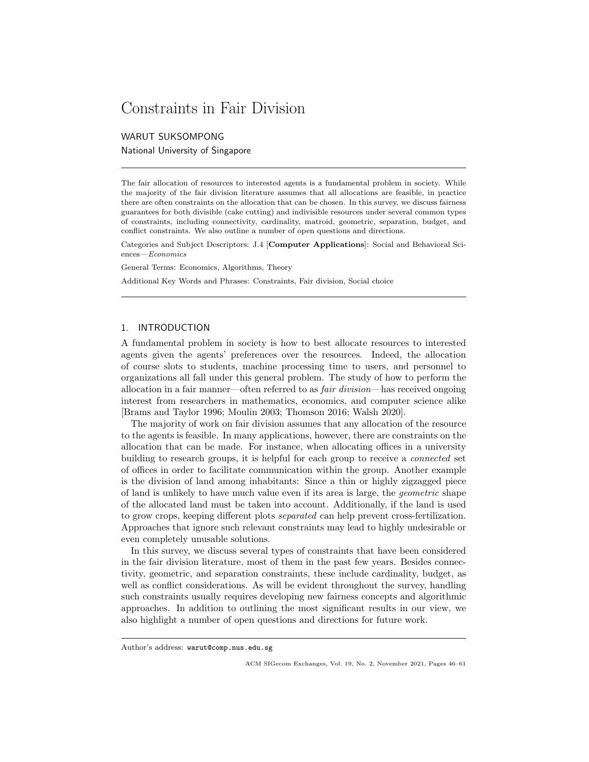# Constraints in Fair Division

WARUT SUKSOMPONG National University of Singapore

The fair allocation of resources to interested agents is a fundamental problem in society. While the majority of the fair division literature assumes that all allocations are feasible, in practice there are often constraints on the allocation that can be chosen. In this survey, we discuss fairness guarantees for both divisible (cake cutting) and indivisible resources under several common types of constraints, including connectivity, cardinality, matroid, geometric, separation, budget, and conflict constraints. We also outline a number of open questions and directions.

Categories and Subject Descriptors: J.4 [Computer Applications]: Social and Behavioral Sciences—Economics

General Terms: Economics, Algorithms, Theory

Additional Key Words and Phrases: Constraints, Fair division, Social choice

## 1. INTRODUCTION

A fundamental problem in society is how to best allocate resources to interested agents given the agents' preferences over the resources. Indeed, the allocation of course slots to students, machine processing time to users, and personnel to organizations all fall under this general problem. The study of how to perform the allocation in a fair manner—often referred to as fair division—has received ongoing interest from researchers in mathematics, economics, and computer science alike [Brams and Taylor 1996; Moulin 2003; Thomson 2016; Walsh 2020].

The majority of work on fair division assumes that any allocation of the resource to the agents is feasible. In many applications, however, there are constraints on the allocation that can be made. For instance, when allocating offices in a university building to research groups, it is helpful for each group to receive a connected set of offices in order to facilitate communication within the group. Another example is the division of land among inhabitants: Since a thin or highly zigzagged piece of land is unlikely to have much value even if its area is large, the geometric shape of the allocated land must be taken into account. Additionally, if the land is used to grow crops, keeping different plots separated can help prevent cross-fertilization. Approaches that ignore such relevant constraints may lead to highly undesirable or even completely unusable solutions.

In this survey, we discuss several types of constraints that have been considered in the fair division literature, most of them in the past few years. Besides connectivity, geometric, and separation constraints, these include cardinality, budget, as well as conflict considerations. As will be evident throughout the survey, handling such constraints usually requires developing new fairness concepts and algorithmic approaches. In addition to outlining the most significant results in our view, we also highlight a number of open questions and directions for future work.

Author's address: warut@comp.nus.edu.sg

ACM SIGecom Exchanges, Vol. 19, No. 2, November 2021, Pages 46–61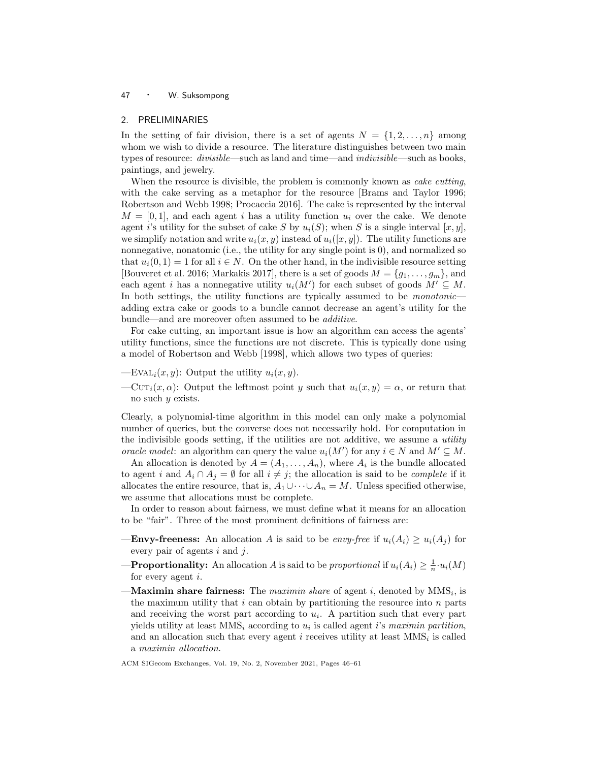## 2. PRELIMINARIES

In the setting of fair division, there is a set of agents  $N = \{1, 2, \ldots, n\}$  among whom we wish to divide a resource. The literature distinguishes between two main types of resource: *divisible*—such as land and time—and *indivisible*—such as books, paintings, and jewelry.

When the resource is divisible, the problem is commonly known as *cake cutting*, with the cake serving as a metaphor for the resource [Brams and Taylor 1996; Robertson and Webb 1998; Procaccia 2016]. The cake is represented by the interval  $M = [0, 1]$ , and each agent i has a utility function  $u_i$  over the cake. We denote agent i's utility for the subset of cake S by  $u_i(S)$ ; when S is a single interval  $[x, y]$ , we simplify notation and write  $u_i(x, y)$  instead of  $u_i([x, y])$ . The utility functions are nonnegative, nonatomic (i.e., the utility for any single point is 0), and normalized so that  $u_i(0, 1) = 1$  for all  $i \in N$ . On the other hand, in the indivisible resource setting [Bouveret et al. 2016; Markakis 2017], there is a set of goods  $M = \{g_1, \ldots, g_m\}$ , and each agent i has a nonnegative utility  $u_i(M')$  for each subset of goods  $M' \subseteq M$ . In both settings, the utility functions are typically assumed to be *monotonic* adding extra cake or goods to a bundle cannot decrease an agent's utility for the bundle—and are moreover often assumed to be additive.

For cake cutting, an important issue is how an algorithm can access the agents' utility functions, since the functions are not discrete. This is typically done using a model of Robertson and Webb [1998], which allows two types of queries:

- —EVAL<sub>i</sub> $(x, y)$ : Output the utility  $u_i(x, y)$ .
- $-CUT_i(x, \alpha)$ : Output the leftmost point y such that  $u_i(x, y) = \alpha$ , or return that no such y exists.

Clearly, a polynomial-time algorithm in this model can only make a polynomial number of queries, but the converse does not necessarily hold. For computation in the indivisible goods setting, if the utilities are not additive, we assume a *utility* oracle model: an algorithm can query the value  $u_i(M')$  for any  $i \in N$  and  $M' \subseteq M$ .

An allocation is denoted by  $A = (A_1, \ldots, A_n)$ , where  $A_i$  is the bundle allocated to agent i and  $A_i \cap A_j = \emptyset$  for all  $i \neq j$ ; the allocation is said to be *complete* if it allocates the entire resource, that is,  $A_1 \cup \cdots \cup A_n = M$ . Unless specified otherwise, we assume that allocations must be complete.

In order to reason about fairness, we must define what it means for an allocation to be "fair". Three of the most prominent definitions of fairness are:

- **—Envy-freeness:** An allocation A is said to be envy-free if  $u_i(A_i) \geq u_i(A_j)$  for every pair of agents  $i$  and  $j$ .
- **—Proportionality:** An allocation A is said to be proportional if  $u_i(A_i) \geq \frac{1}{n} \cdot u_i(M)$ for every agent  $i$ .
- $-Maximin share fairness: The *maximin share* of agent *i*, denoted by  $MMS_i$ , is$ the maximum utility that  $i$  can obtain by partitioning the resource into  $n$  parts and receiving the worst part according to  $u_i$ . A partition such that every part yields utility at least  $MMS_i$  according to  $u_i$  is called agent i's maximin partition, and an allocation such that every agent  $i$  receives utility at least  $MMS<sub>i</sub>$  is called a maximin allocation.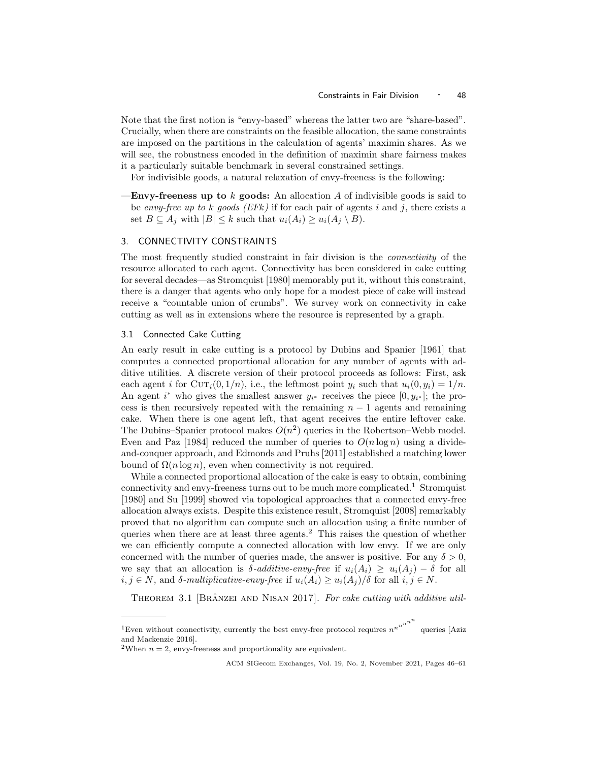Note that the first notion is "envy-based" whereas the latter two are "share-based". Crucially, when there are constraints on the feasible allocation, the same constraints are imposed on the partitions in the calculation of agents' maximin shares. As we will see, the robustness encoded in the definition of maximin share fairness makes it a particularly suitable benchmark in several constrained settings.

For indivisible goods, a natural relaxation of envy-freeness is the following:

**Envy-freeness up to** k goods: An allocation A of indivisible goods is said to be envy-free up to k goods (EFk) if for each pair of agents i and j, there exists a set  $B \subseteq A_i$  with  $|B| \leq k$  such that  $u_i(A_i) \geq u_i(A_i \setminus B)$ .

## 3. CONNECTIVITY CONSTRAINTS

The most frequently studied constraint in fair division is the connectivity of the resource allocated to each agent. Connectivity has been considered in cake cutting for several decades—as Stromquist [1980] memorably put it, without this constraint, there is a danger that agents who only hope for a modest piece of cake will instead receive a "countable union of crumbs". We survey work on connectivity in cake cutting as well as in extensions where the resource is represented by a graph.

## 3.1 Connected Cake Cutting

An early result in cake cutting is a protocol by Dubins and Spanier [1961] that computes a connected proportional allocation for any number of agents with additive utilities. A discrete version of their protocol proceeds as follows: First, ask each agent i for  $\text{Cur}_i(0, 1/n)$ , i.e., the leftmost point  $y_i$  such that  $u_i(0, y_i) = 1/n$ . An agent  $i^*$  who gives the smallest answer  $y_{i^*}$  receives the piece  $[0, y_{i^*}]$ ; the process is then recursively repeated with the remaining  $n - 1$  agents and remaining cake. When there is one agent left, that agent receives the entire leftover cake. The Dubins–Spanier protocol makes  $O(n^2)$  queries in the Robertson–Webb model. Even and Paz [1984] reduced the number of queries to  $O(n \log n)$  using a divideand-conquer approach, and Edmonds and Pruhs [2011] established a matching lower bound of  $\Omega(n \log n)$ , even when connectivity is not required.

While a connected proportional allocation of the cake is easy to obtain, combining connectivity and envy-freeness turns out to be much more complicated.<sup>1</sup> Stromquist [1980] and Su [1999] showed via topological approaches that a connected envy-free allocation always exists. Despite this existence result, Stromquist [2008] remarkably proved that no algorithm can compute such an allocation using a finite number of queries when there are at least three agents.<sup>2</sup> This raises the question of whether we can efficiently compute a connected allocation with low envy. If we are only concerned with the number of queries made, the answer is positive. For any  $\delta > 0$ , we say that an allocation is  $\delta$ -additive-envy-free if  $u_i(A_i) \geq u_i(A_i) - \delta$  for all  $i, j \in N$ , and  $\delta$ -multiplicative-envy-free if  $u_i(A_i) \geq u_i(A_j)/\delta$  for all  $i, j \in N$ .

THEOREM 3.1 [BRÂNZEI AND NISAN 2017]. For cake cutting with additive util-

<sup>&</sup>lt;sup>1</sup>Even without connectivity, currently the best envy-free protocol requires  $n^{n^{n^{n^{n}}}}$ queries [Aziz and Mackenzie 2016].

<sup>&</sup>lt;sup>2</sup>When  $n = 2$ , envy-freeness and proportionality are equivalent.

ACM SIGecom Exchanges, Vol. 19, No. 2, November 2021, Pages 46–61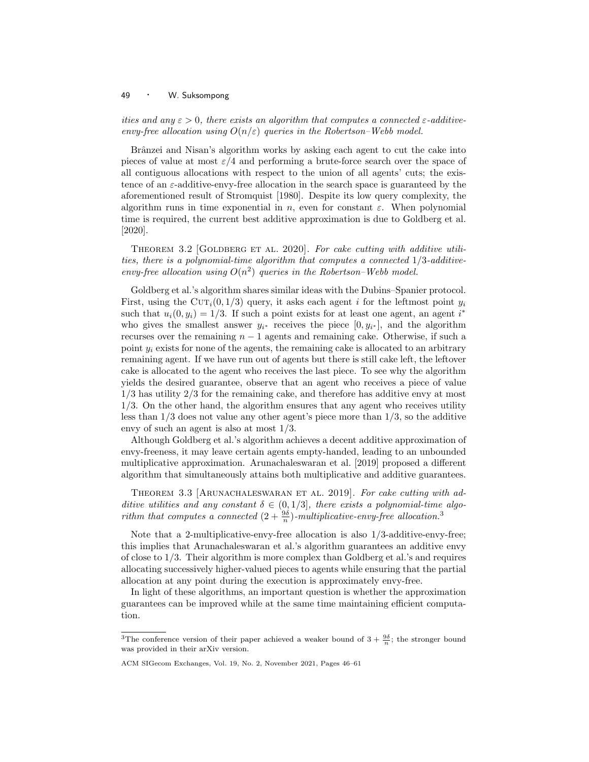ities and any  $\varepsilon > 0$ , there exists an algorithm that computes a connected  $\varepsilon$ -additiveenvy-free allocation using  $O(n/\varepsilon)$  queries in the Robertson–Webb model.

Brânzei and Nisan's algorithm works by asking each agent to cut the cake into pieces of value at most  $\varepsilon/4$  and performing a brute-force search over the space of all contiguous allocations with respect to the union of all agents' cuts; the existence of an  $\varepsilon$ -additive-envy-free allocation in the search space is guaranteed by the aforementioned result of Stromquist [1980]. Despite its low query complexity, the algorithm runs in time exponential in n, even for constant  $\varepsilon$ . When polynomial time is required, the current best additive approximation is due to Goldberg et al. [2020].

THEOREM 3.2 [GOLDBERG ET AL. 2020]. For cake cutting with additive utilities, there is a polynomial-time algorithm that computes a connected  $1/3$ -additiveenvy-free allocation using  $O(n^2)$  queries in the Robertson-Webb model.

Goldberg et al.'s algorithm shares similar ideas with the Dubins–Spanier protocol. First, using the CUT<sub>i</sub>(0, 1/3) query, it asks each agent i for the leftmost point  $y_i$ such that  $u_i(0, y_i) = 1/3$ . If such a point exists for at least one agent, an agent  $i^*$ who gives the smallest answer  $y_{i^*}$  receives the piece  $[0, y_{i^*}]$ , and the algorithm recurses over the remaining  $n - 1$  agents and remaining cake. Otherwise, if such a point  $y_i$  exists for none of the agents, the remaining cake is allocated to an arbitrary remaining agent. If we have run out of agents but there is still cake left, the leftover cake is allocated to the agent who receives the last piece. To see why the algorithm yields the desired guarantee, observe that an agent who receives a piece of value 1/3 has utility 2/3 for the remaining cake, and therefore has additive envy at most 1/3. On the other hand, the algorithm ensures that any agent who receives utility less than 1/3 does not value any other agent's piece more than 1/3, so the additive envy of such an agent is also at most 1/3.

Although Goldberg et al.'s algorithm achieves a decent additive approximation of envy-freeness, it may leave certain agents empty-handed, leading to an unbounded multiplicative approximation. Arunachaleswaran et al. [2019] proposed a different algorithm that simultaneously attains both multiplicative and additive guarantees.

THEOREM 3.3 [ARUNACHALESWARAN ET AL. 2019]. For cake cutting with additive utilities and any constant  $\delta \in (0,1/3]$ , there exists a polynomial-time algorithm that computes a connected  $(2 + \frac{9\delta}{n})$ -multiplicative-envy-free allocation.<sup>3</sup>

Note that a 2-multiplicative-envy-free allocation is also 1/3-additive-envy-free; this implies that Arunachaleswaran et al.'s algorithm guarantees an additive envy of close to 1/3. Their algorithm is more complex than Goldberg et al.'s and requires allocating successively higher-valued pieces to agents while ensuring that the partial allocation at any point during the execution is approximately envy-free.

In light of these algorithms, an important question is whether the approximation guarantees can be improved while at the same time maintaining efficient computation.

<sup>&</sup>lt;sup>3</sup>The conference version of their paper achieved a weaker bound of  $3 + \frac{9\delta}{n}$ ; the stronger bound was provided in their arXiv version.

ACM SIGecom Exchanges, Vol. 19, No. 2, November 2021, Pages 46–61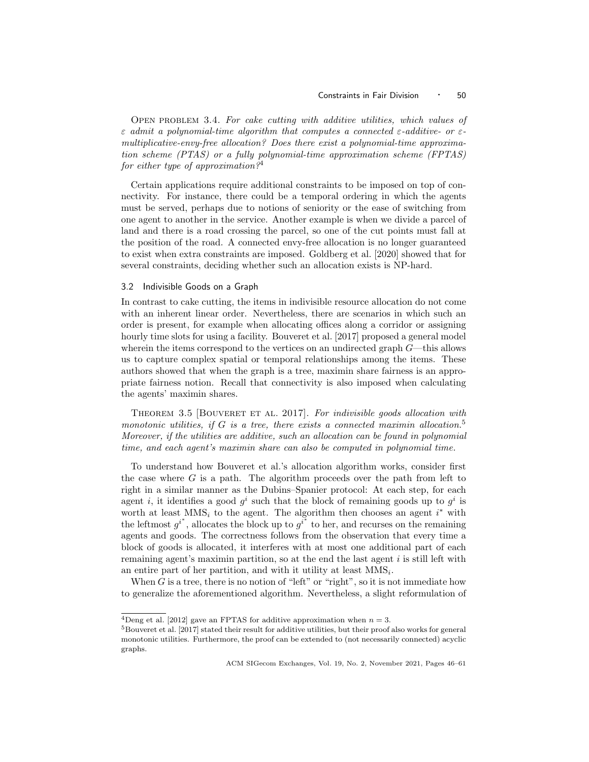Open problem 3.4. For cake cutting with additive utilities, which values of  $\varepsilon$  admit a polynomial-time algorithm that computes a connected  $\varepsilon$ -additive- or  $\varepsilon$ multiplicative-envy-free allocation? Does there exist a polynomial-time approximation scheme (PTAS) or a fully polynomial-time approximation scheme (FPTAS) for either type of approximation?<sup>4</sup>

Certain applications require additional constraints to be imposed on top of connectivity. For instance, there could be a temporal ordering in which the agents must be served, perhaps due to notions of seniority or the ease of switching from one agent to another in the service. Another example is when we divide a parcel of land and there is a road crossing the parcel, so one of the cut points must fall at the position of the road. A connected envy-free allocation is no longer guaranteed to exist when extra constraints are imposed. Goldberg et al. [2020] showed that for several constraints, deciding whether such an allocation exists is NP-hard.

#### 3.2 Indivisible Goods on a Graph

In contrast to cake cutting, the items in indivisible resource allocation do not come with an inherent linear order. Nevertheless, there are scenarios in which such an order is present, for example when allocating offices along a corridor or assigning hourly time slots for using a facility. Bouveret et al. [2017] proposed a general model wherein the items correspond to the vertices on an undirected graph  $G$ —this allows us to capture complex spatial or temporal relationships among the items. These authors showed that when the graph is a tree, maximin share fairness is an appropriate fairness notion. Recall that connectivity is also imposed when calculating the agents' maximin shares.

THEOREM 3.5 [BOUVERET ET AL. 2017]. For indivisible goods allocation with monotonic utilities, if G is a tree, there exists a connected maximin allocation.<sup>5</sup> Moreover, if the utilities are additive, such an allocation can be found in polynomial time, and each agent's maximin share can also be computed in polynomial time.

To understand how Bouveret et al.'s allocation algorithm works, consider first the case where  $G$  is a path. The algorithm proceeds over the path from left to right in a similar manner as the Dubins–Spanier protocol: At each step, for each agent *i*, it identifies a good  $g^i$  such that the block of remaining goods up to  $g^i$  is worth at least  $MMS_i$  to the agent. The algorithm then chooses an agent  $i^*$  with the leftmost  $g^{i^*}$ , allocates the block up to  $g^{i^*}$  to her, and recurses on the remaining agents and goods. The correctness follows from the observation that every time a block of goods is allocated, it interferes with at most one additional part of each remaining agent's maximin partition, so at the end the last agent  $i$  is still left with an entire part of her partition, and with it utility at least  $MMS_i$ .

When  $G$  is a tree, there is no notion of "left" or "right", so it is not immediate how to generalize the aforementioned algorithm. Nevertheless, a slight reformulation of

<sup>&</sup>lt;sup>4</sup>Deng et al. [2012] gave an FPTAS for additive approximation when  $n = 3$ .

 $5B$ ouveret et al. [2017] stated their result for additive utilities, but their proof also works for general monotonic utilities. Furthermore, the proof can be extended to (not necessarily connected) acyclic graphs.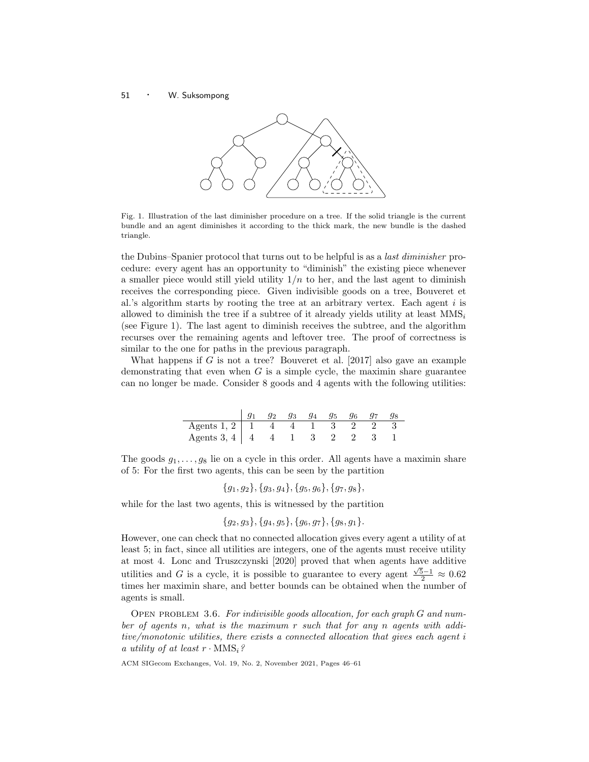

Fig. 1. Illustration of the last diminisher procedure on a tree. If the solid triangle is the current bundle and an agent diminishes it according to the thick mark, the new bundle is the dashed triangle.

the Dubins–Spanier protocol that turns out to be helpful is as a last diminisher procedure: every agent has an opportunity to "diminish" the existing piece whenever a smaller piece would still yield utility  $1/n$  to her, and the last agent to diminish receives the corresponding piece. Given indivisible goods on a tree, Bouveret et al.'s algorithm starts by rooting the tree at an arbitrary vertex. Each agent  $i$  is allowed to diminish the tree if a subtree of it already yields utility at least  $MMS_i$ (see Figure 1). The last agent to diminish receives the subtree, and the algorithm recurses over the remaining agents and leftover tree. The proof of correctness is similar to the one for paths in the previous paragraph.

What happens if  $G$  is not a tree? Bouveret et al. [2017] also gave an example demonstrating that even when  $G$  is a simple cycle, the maximin share guarantee can no longer be made. Consider 8 goods and 4 agents with the following utilities:

|                                 | $g_2$ |  | $g_3$ $g_4$ $g_5$ $g_6$ | $g_7$ | 98 |
|---------------------------------|-------|--|-------------------------|-------|----|
| Agents 1, 2   1   4   4   1   3 |       |  |                         |       |    |
| Agents 3, 4   4   4   1   3     |       |  |                         |       |    |

The goods  $g_1, \ldots, g_8$  lie on a cycle in this order. All agents have a maximin share of 5: For the first two agents, this can be seen by the partition

$$
{g_1, g_2}, {g_3, g_4}, {g_5, g_6}, {g_7, g_8},
$$

while for the last two agents, this is witnessed by the partition

$$
{g_2, g_3}, {g_4, g_5}, {g_6, g_7}, {g_8, g_1}.
$$

However, one can check that no connected allocation gives every agent a utility of at least 5; in fact, since all utilities are integers, one of the agents must receive utility at most 4. Lonc and Truszczynski [2020] proved that when agents have additive utilities and G is a cycle, it is possible to guarantee to every agent  $\frac{\sqrt{5}-1}{2} \approx 0.62$ times her maximin share, and better bounds can be obtained when the number of agents is small.

OPEN PROBLEM 3.6. For indivisible goods allocation, for each graph G and number of agents n, what is the maximum r such that for any n agents with additive/monotonic utilities, there exists a connected allocation that gives each agent i a utility of at least  $r \cdot \text{MMS}_i$ ?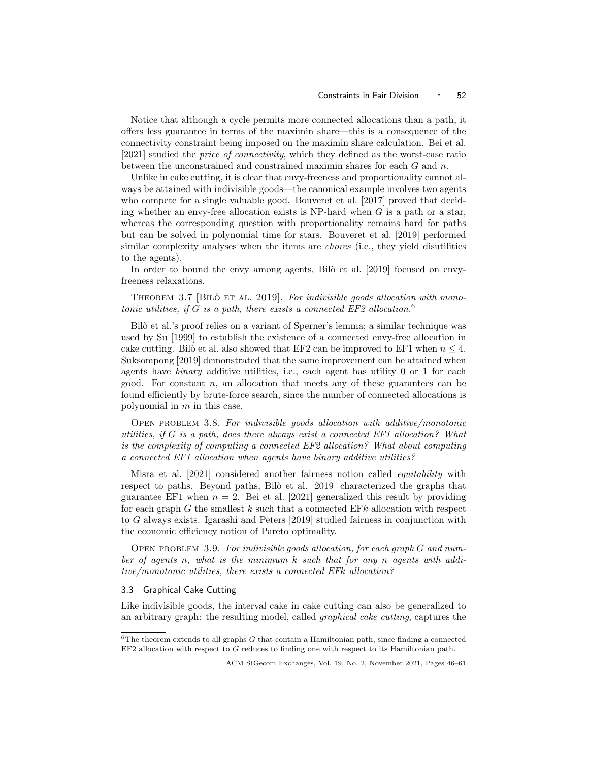Notice that although a cycle permits more connected allocations than a path, it offers less guarantee in terms of the maximin share—this is a consequence of the connectivity constraint being imposed on the maximin share calculation. Bei et al. [2021] studied the price of connectivity, which they defined as the worst-case ratio between the unconstrained and constrained maximin shares for each  $G$  and  $n$ .

Unlike in cake cutting, it is clear that envy-freeness and proportionality cannot always be attained with indivisible goods—the canonical example involves two agents who compete for a single valuable good. Bouveret et al. [2017] proved that deciding whether an envy-free allocation exists is NP-hard when  $G$  is a path or a star, whereas the corresponding question with proportionality remains hard for paths but can be solved in polynomial time for stars. Bouveret et al. [2019] performed similar complexity analyses when the items are *chores* (i.e., they yield disutilities to the agents).

In order to bound the envy among agents, Bilò et al. [2019] focused on envyfreeness relaxations.

THEOREM 3.7 [BILO ET AL. 2019]. For indivisible goods allocation with monotonic utilities, if G is a path, there exists a connected EF2 allocation.<sup>6</sup>

Bilò et al.'s proof relies on a variant of Sperner's lemma; a similar technique was used by Su [1999] to establish the existence of a connected envy-free allocation in cake cutting. Bilò et al. also showed that EF2 can be improved to EF1 when  $n \leq 4$ . Suksompong [2019] demonstrated that the same improvement can be attained when agents have *binary* additive utilities, i.e., each agent has utility 0 or 1 for each good. For constant n, an allocation that meets any of these guarantees can be found efficiently by brute-force search, since the number of connected allocations is polynomial in m in this case.

Open problem 3.8. For indivisible goods allocation with additive/monotonic utilities, if G is a path, does there always exist a connected  $EFT$  allocation? What is the complexity of computing a connected EF2 allocation? What about computing a connected EF1 allocation when agents have binary additive utilities?

Misra et al. [2021] considered another fairness notion called equitability with respect to paths. Beyond paths, Bilò et al. [2019] characterized the graphs that guarantee EF1 when  $n = 2$ . Bei et al. [2021] generalized this result by providing for each graph  $G$  the smallest  $k$  such that a connected EF $k$  allocation with respect to G always exists. Igarashi and Peters [2019] studied fairness in conjunction with the economic efficiency notion of Pareto optimality.

OPEN PROBLEM 3.9. For indivisible goods allocation, for each graph  $G$  and number of agents n, what is the minimum k such that for any n agents with additive/monotonic utilities, there exists a connected EFk allocation?

#### 3.3 Graphical Cake Cutting

Like indivisible goods, the interval cake in cake cutting can also be generalized to an arbitrary graph: the resulting model, called graphical cake cutting, captures the

 $^6\mathrm{The}$  theorem extends to all graphs  $G$  that contain a Hamiltonian path, since finding a connected EF2 allocation with respect to G reduces to finding one with respect to its Hamiltonian path.

ACM SIGecom Exchanges, Vol. 19, No. 2, November 2021, Pages 46–61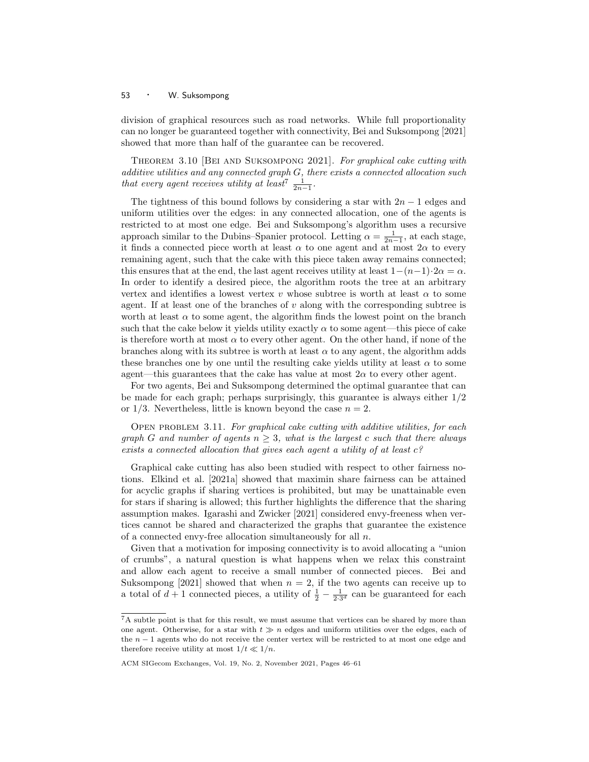division of graphical resources such as road networks. While full proportionality can no longer be guaranteed together with connectivity, Bei and Suksompong [2021] showed that more than half of the guarantee can be recovered.

Theorem 3.10 [Bei and Suksompong 2021]. For graphical cake cutting with  $additive$  utilities and any connected graph  $G,$  there exists a connected allocation such that every agent receives utility at least<sup>7</sup>  $\frac{1}{2n-1}$ .

The tightness of this bound follows by considering a star with  $2n - 1$  edges and uniform utilities over the edges: in any connected allocation, one of the agents is restricted to at most one edge. Bei and Suksompong's algorithm uses a recursive approach similar to the Dubins–Spanier protocol. Letting  $\alpha = \frac{1}{2n-1}$ , at each stage, it finds a connected piece worth at least  $\alpha$  to one agent and at most  $2\alpha$  to every remaining agent, such that the cake with this piece taken away remains connected; this ensures that at the end, the last agent receives utility at least  $1-(n-1)\cdot 2\alpha = \alpha$ . In order to identify a desired piece, the algorithm roots the tree at an arbitrary vertex and identifies a lowest vertex v whose subtree is worth at least  $\alpha$  to some agent. If at least one of the branches of  $v$  along with the corresponding subtree is worth at least  $\alpha$  to some agent, the algorithm finds the lowest point on the branch such that the cake below it yields utility exactly  $\alpha$  to some agent—this piece of cake is therefore worth at most  $\alpha$  to every other agent. On the other hand, if none of the branches along with its subtree is worth at least  $\alpha$  to any agent, the algorithm adds these branches one by one until the resulting cake yields utility at least  $\alpha$  to some agent—this guarantees that the cake has value at most  $2\alpha$  to every other agent.

For two agents, Bei and Suksompong determined the optimal guarantee that can be made for each graph; perhaps surprisingly, this guarantee is always either 1/2 or  $1/3$ . Nevertheless, little is known beyond the case  $n = 2$ .

OPEN PROBLEM 3.11. For graphical cake cutting with additive utilities, for each graph G and number of agents  $n \geq 3$ , what is the largest c such that there always exists a connected allocation that gives each agent a utility of at least  $c$ ?

Graphical cake cutting has also been studied with respect to other fairness notions. Elkind et al. [2021a] showed that maximin share fairness can be attained for acyclic graphs if sharing vertices is prohibited, but may be unattainable even for stars if sharing is allowed; this further highlights the difference that the sharing assumption makes. Igarashi and Zwicker [2021] considered envy-freeness when vertices cannot be shared and characterized the graphs that guarantee the existence of a connected envy-free allocation simultaneously for all  $n$ .

Given that a motivation for imposing connectivity is to avoid allocating a "union of crumbs", a natural question is what happens when we relax this constraint and allow each agent to receive a small number of connected pieces. Bei and Suksompong [2021] showed that when  $n = 2$ , if the two agents can receive up to a total of  $d+1$  connected pieces, a utility of  $\frac{1}{2} - \frac{1}{2 \cdot 3^d}$  can be guaranteed for each

 $\overline{7A}$  subtle point is that for this result, we must assume that vertices can be shared by more than one agent. Otherwise, for a star with  $t \gg n$  edges and uniform utilities over the edges, each of the  $n - 1$  agents who do not receive the center vertex will be restricted to at most one edge and therefore receive utility at most  $1/t \ll 1/n$ .

ACM SIGecom Exchanges, Vol. 19, No. 2, November 2021, Pages 46–61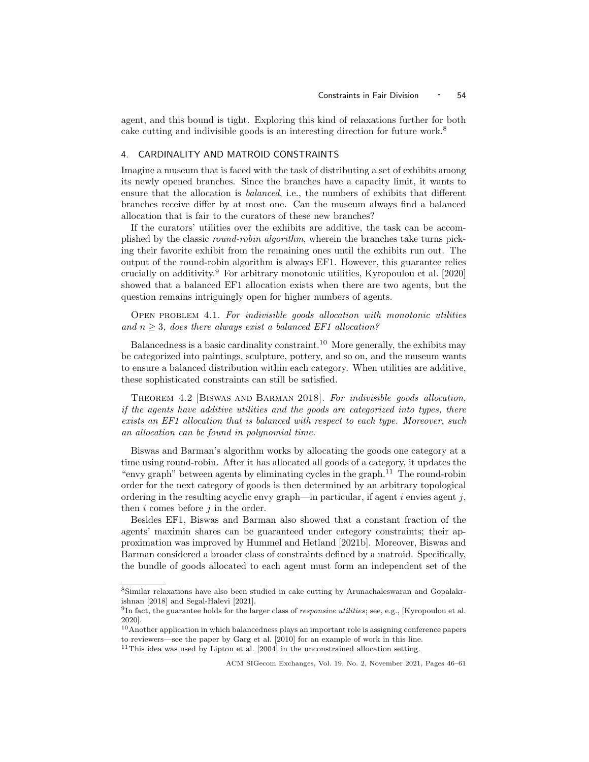agent, and this bound is tight. Exploring this kind of relaxations further for both cake cutting and indivisible goods is an interesting direction for future work.<sup>8</sup>

# 4. CARDINALITY AND MATROID CONSTRAINTS

Imagine a museum that is faced with the task of distributing a set of exhibits among its newly opened branches. Since the branches have a capacity limit, it wants to ensure that the allocation is balanced, i.e., the numbers of exhibits that different branches receive differ by at most one. Can the museum always find a balanced allocation that is fair to the curators of these new branches?

If the curators' utilities over the exhibits are additive, the task can be accomplished by the classic round-robin algorithm, wherein the branches take turns picking their favorite exhibit from the remaining ones until the exhibits run out. The output of the round-robin algorithm is always EF1. However, this guarantee relies crucially on additivity.<sup>9</sup> For arbitrary monotonic utilities, Kyropoulou et al. [2020] showed that a balanced EF1 allocation exists when there are two agents, but the question remains intriguingly open for higher numbers of agents.

Open problem 4.1. For indivisible goods allocation with monotonic utilities and  $n \geq 3$ , does there always exist a balanced EF1 allocation?

Balancedness is a basic cardinality constraint.<sup>10</sup> More generally, the exhibits may be categorized into paintings, sculpture, pottery, and so on, and the museum wants to ensure a balanced distribution within each category. When utilities are additive, these sophisticated constraints can still be satisfied.

Theorem 4.2 [Biswas and Barman 2018]. For indivisible goods allocation, if the agents have additive utilities and the goods are categorized into types, there exists an EF1 allocation that is balanced with respect to each type. Moreover, such an allocation can be found in polynomial time.

Biswas and Barman's algorithm works by allocating the goods one category at a time using round-robin. After it has allocated all goods of a category, it updates the "envy graph" between agents by eliminating cycles in the graph.<sup>11</sup> The round-robin order for the next category of goods is then determined by an arbitrary topological ordering in the resulting acyclic envy graph—in particular, if agent  $i$  envies agent  $j$ , then  $i$  comes before  $j$  in the order.

Besides EF1, Biswas and Barman also showed that a constant fraction of the agents' maximin shares can be guaranteed under category constraints; their approximation was improved by Hummel and Hetland [2021b]. Moreover, Biswas and Barman considered a broader class of constraints defined by a matroid. Specifically, the bundle of goods allocated to each agent must form an independent set of the

<sup>8</sup>Similar relaxations have also been studied in cake cutting by Arunachaleswaran and Gopalakrishnan [2018] and Segal-Halevi [2021].

<sup>&</sup>lt;sup>9</sup>In fact, the guarantee holds for the larger class of *responsive utilities*; see, e.g., [Kyropoulou et al. 2020].

<sup>&</sup>lt;sup>10</sup>Another application in which balancedness plays an important role is assigning conference papers to reviewers—see the paper by Garg et al. [2010] for an example of work in this line.

 $^{11}\mathrm{This}$ idea was used by Lipton et al. [2004] in the unconstrained allocation setting.

ACM SIGecom Exchanges, Vol. 19, No. 2, November 2021, Pages 46–61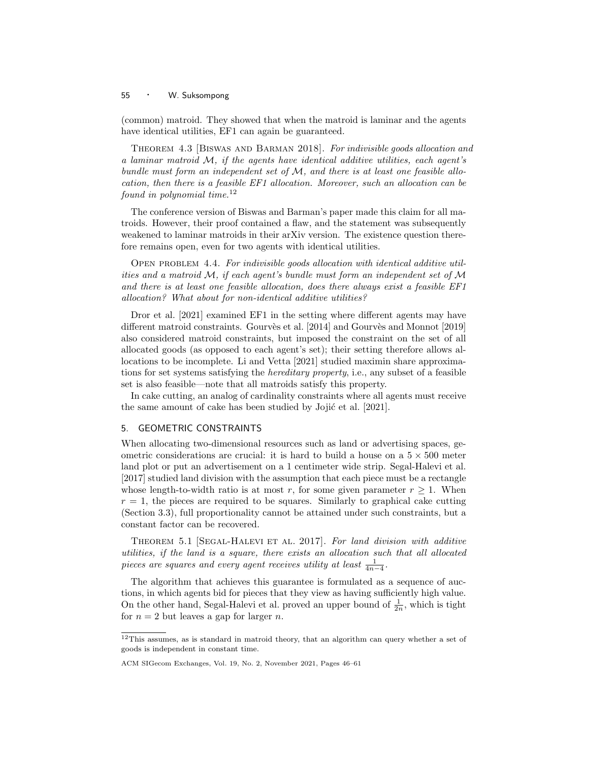(common) matroid. They showed that when the matroid is laminar and the agents have identical utilities, EF1 can again be guaranteed.

Theorem 4.3 [Biswas and Barman 2018]. For indivisible goods allocation and a laminar matroid  $M$ , if the agents have identical additive utilities, each agent's bundle must form an independent set of  $\mathcal{M}$ , and there is at least one feasible allocation, then there is a feasible EF1 allocation. Moreover, such an allocation can be found in polynomial time. $12$ 

The conference version of Biswas and Barman's paper made this claim for all matroids. However, their proof contained a flaw, and the statement was subsequently weakened to laminar matroids in their arXiv version. The existence question therefore remains open, even for two agents with identical utilities.

Open problem 4.4. For indivisible goods allocation with identical additive utilities and a matroid  $\mathcal{M}$ , if each agent's bundle must form an independent set of  $\mathcal M$ and there is at least one feasible allocation, does there always exist a feasible EF1 allocation? What about for non-identical additive utilities?

Dror et al. [2021] examined EF1 in the setting where different agents may have different matroid constraints. Gourvès et al.  $[2014]$  and Gourvès and Monnot  $[2019]$ also considered matroid constraints, but imposed the constraint on the set of all allocated goods (as opposed to each agent's set); their setting therefore allows allocations to be incomplete. Li and Vetta [2021] studied maximin share approximations for set systems satisfying the *hereditary property*, i.e., any subset of a feasible set is also feasible—note that all matroids satisfy this property.

In cake cutting, an analog of cardinality constraints where all agents must receive the same amount of cake has been studied by Jojić et al. [2021].

# 5. GEOMETRIC CONSTRAINTS

When allocating two-dimensional resources such as land or advertising spaces, geometric considerations are crucial: it is hard to build a house on a  $5 \times 500$  meter land plot or put an advertisement on a 1 centimeter wide strip. Segal-Halevi et al. [2017] studied land division with the assumption that each piece must be a rectangle whose length-to-width ratio is at most r, for some given parameter  $r \geq 1$ . When  $r = 1$ , the pieces are required to be squares. Similarly to graphical cake cutting (Section 3.3), full proportionality cannot be attained under such constraints, but a constant factor can be recovered.

THEOREM 5.1 [SEGAL-HALEVI ET AL. 2017]. For land division with additive utilities, if the land is a square, there exists an allocation such that all allocated pieces are squares and every agent receives utility at least  $\frac{1}{4n-4}$ .

The algorithm that achieves this guarantee is formulated as a sequence of auctions, in which agents bid for pieces that they view as having sufficiently high value. On the other hand, Segal-Halevi et al. proved an upper bound of  $\frac{1}{2n}$ , which is tight for  $n = 2$  but leaves a gap for larger n.

<sup>12</sup>This assumes, as is standard in matroid theory, that an algorithm can query whether a set of goods is independent in constant time.

ACM SIGecom Exchanges, Vol. 19, No. 2, November 2021, Pages 46–61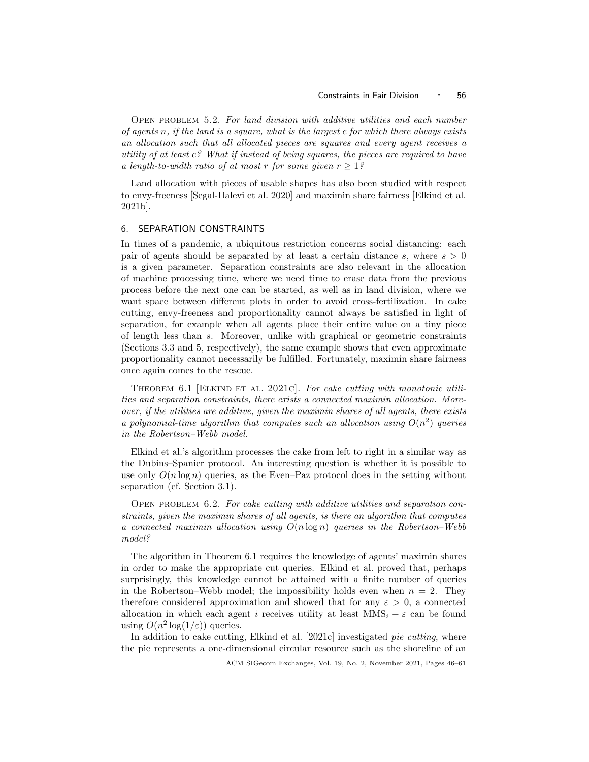Open problem 5.2. For land division with additive utilities and each number of agents  $n$ , if the land is a square, what is the largest c for which there always exists an allocation such that all allocated pieces are squares and every agent receives a utility of at least c? What if instead of being squares, the pieces are required to have a length-to-width ratio of at most r for some given  $r > 1$ ?

Land allocation with pieces of usable shapes has also been studied with respect to envy-freeness [Segal-Halevi et al. 2020] and maximin share fairness [Elkind et al. 2021b].

## 6. SEPARATION CONSTRAINTS

In times of a pandemic, a ubiquitous restriction concerns social distancing: each pair of agents should be separated by at least a certain distance s, where  $s > 0$ is a given parameter. Separation constraints are also relevant in the allocation of machine processing time, where we need time to erase data from the previous process before the next one can be started, as well as in land division, where we want space between different plots in order to avoid cross-fertilization. In cake cutting, envy-freeness and proportionality cannot always be satisfied in light of separation, for example when all agents place their entire value on a tiny piece of length less than s. Moreover, unlike with graphical or geometric constraints (Sections 3.3 and 5, respectively), the same example shows that even approximate proportionality cannot necessarily be fulfilled. Fortunately, maximin share fairness once again comes to the rescue.

THEOREM 6.1 [ELKIND ET AL. 2021c]. For cake cutting with monotonic utilities and separation constraints, there exists a connected maximin allocation. Moreover, if the utilities are additive, given the maximin shares of all agents, there exists a polynomial-time algorithm that computes such an allocation using  $O(n^2)$  queries in the Robertson–Webb model.

Elkind et al.'s algorithm processes the cake from left to right in a similar way as the Dubins–Spanier protocol. An interesting question is whether it is possible to use only  $O(n \log n)$  queries, as the Even–Paz protocol does in the setting without separation (cf. Section 3.1).

OPEN PROBLEM  $6.2.$  For cake cutting with additive utilities and separation constraints, given the maximin shares of all agents, is there an algorithm that computes a connected maximin allocation using  $O(n \log n)$  queries in the Robertson–Webb model?

The algorithm in Theorem 6.1 requires the knowledge of agents' maximin shares in order to make the appropriate cut queries. Elkind et al. proved that, perhaps surprisingly, this knowledge cannot be attained with a finite number of queries in the Robertson–Webb model; the impossibility holds even when  $n = 2$ . They therefore considered approximation and showed that for any  $\varepsilon > 0$ , a connected allocation in which each agent i receives utility at least  $MMS_i - \varepsilon$  can be found using  $O(n^2 \log(1/\varepsilon))$  queries.

In addition to cake cutting, Elkind et al. [2021c] investigated pie cutting, where the pie represents a one-dimensional circular resource such as the shoreline of an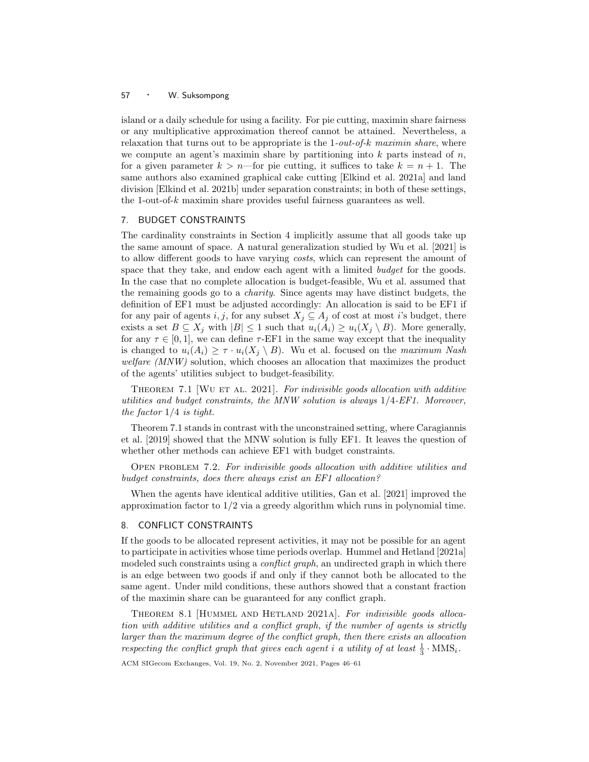island or a daily schedule for using a facility. For pie cutting, maximin share fairness or any multiplicative approximation thereof cannot be attained. Nevertheless, a relaxation that turns out to be appropriate is the  $1$ -out-of-k maximin share, where we compute an agent's maximin share by partitioning into  $k$  parts instead of  $n$ , for a given parameter  $k > n$ —for pie cutting, it suffices to take  $k = n + 1$ . The same authors also examined graphical cake cutting [Elkind et al. 2021a] and land division [Elkind et al. 2021b] under separation constraints; in both of these settings, the 1-out-of- $k$  maximin share provides useful fairness guarantees as well.

# 7. BUDGET CONSTRAINTS

The cardinality constraints in Section 4 implicitly assume that all goods take up the same amount of space. A natural generalization studied by Wu et al. [2021] is to allow different goods to have varying *costs*, which can represent the amount of space that they take, and endow each agent with a limited *budget* for the goods. In the case that no complete allocation is budget-feasible, Wu et al. assumed that the remaining goods go to a charity. Since agents may have distinct budgets, the definition of EF1 must be adjusted accordingly: An allocation is said to be EF1 if for any pair of agents i, j, for any subset  $X_j \subseteq A_j$  of cost at most i's budget, there exists a set  $B \subseteq X_j$  with  $|B| \leq 1$  such that  $u_i(A_i) \geq u_i(X_j \setminus B)$ . More generally, for any  $\tau \in [0, 1]$ , we can define  $\tau$ -EF1 in the same way except that the inequality is changed to  $u_i(A_i) \geq \tau \cdot u_i(X_j \setminus B)$ . Wu et al. focused on the maximum Nash welfare (MNW) solution, which chooses an allocation that maximizes the product of the agents' utilities subject to budget-feasibility.

THEOREM 7.1 [WU ET AL. 2021]. For indivisible goods allocation with additive utilities and budget constraints, the MNW solution is always  $1/4$ -EF1. Moreover, the factor  $1/4$  is tight.

Theorem 7.1 stands in contrast with the unconstrained setting, where Caragiannis et al. [2019] showed that the MNW solution is fully EF1. It leaves the question of whether other methods can achieve EF1 with budget constraints.

Open problem 7.2. For indivisible goods allocation with additive utilities and budget constraints, does there always exist an EF1 allocation?

When the agents have identical additive utilities, Gan et al. [2021] improved the approximation factor to  $1/2$  via a greedy algorithm which runs in polynomial time.

## 8. CONFLICT CONSTRAINTS

If the goods to be allocated represent activities, it may not be possible for an agent to participate in activities whose time periods overlap. Hummel and Hetland [2021a] modeled such constraints using a *conflict graph*, an undirected graph in which there is an edge between two goods if and only if they cannot both be allocated to the same agent. Under mild conditions, these authors showed that a constant fraction of the maximin share can be guaranteed for any conflict graph.

THEOREM 8.1 [HUMMEL AND HETLAND 2021A]. For indivisible goods allocation with additive utilities and a conflict graph, if the number of agents is strictly larger than the maximum degree of the conflict graph, then there exists an allocation respecting the conflict graph that gives each agent *i* a utility of at least  $\frac{1}{3} \cdot \text{MMS}_i$ .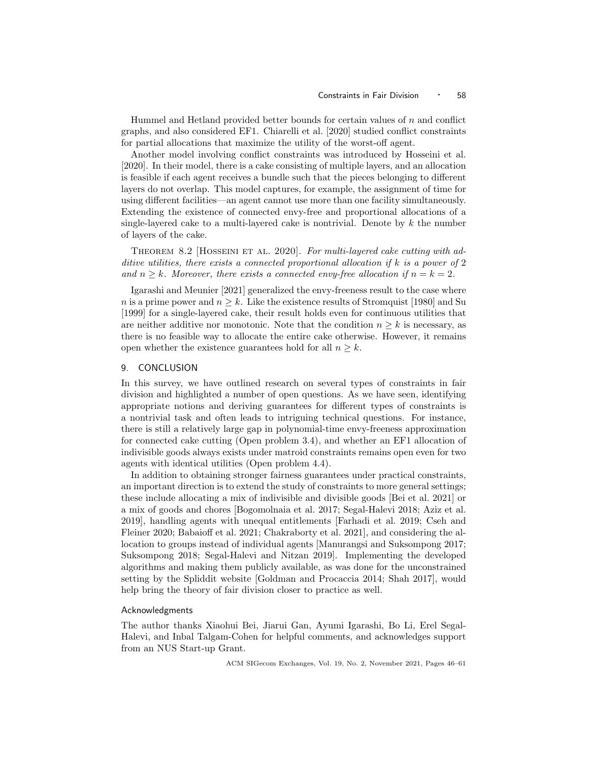Hummel and Hetland provided better bounds for certain values of  $n$  and conflict graphs, and also considered EF1. Chiarelli et al. [2020] studied conflict constraints for partial allocations that maximize the utility of the worst-off agent.

Another model involving conflict constraints was introduced by Hosseini et al. [2020]. In their model, there is a cake consisting of multiple layers, and an allocation is feasible if each agent receives a bundle such that the pieces belonging to different layers do not overlap. This model captures, for example, the assignment of time for using different facilities—an agent cannot use more than one facility simultaneously. Extending the existence of connected envy-free and proportional allocations of a single-layered cake to a multi-layered cake is nontrivial. Denote by  $k$  the number of layers of the cake.

THEOREM 8.2 HOSSEINI ET AL. 2020]. For multi-layered cake cutting with additive utilities, there exists a connected proportional allocation if k is a power of 2 and  $n > k$ . Moreover, there exists a connected envy-free allocation if  $n = k = 2$ .

Igarashi and Meunier [2021] generalized the envy-freeness result to the case where n is a prime power and  $n \geq k$ . Like the existence results of Stromquist [1980] and Su [1999] for a single-layered cake, their result holds even for continuous utilities that are neither additive nor monotonic. Note that the condition  $n \geq k$  is necessary, as there is no feasible way to allocate the entire cake otherwise. However, it remains open whether the existence guarantees hold for all  $n \geq k$ .

#### 9. CONCLUSION

In this survey, we have outlined research on several types of constraints in fair division and highlighted a number of open questions. As we have seen, identifying appropriate notions and deriving guarantees for different types of constraints is a nontrivial task and often leads to intriguing technical questions. For instance, there is still a relatively large gap in polynomial-time envy-freeness approximation for connected cake cutting (Open problem 3.4), and whether an EF1 allocation of indivisible goods always exists under matroid constraints remains open even for two agents with identical utilities (Open problem 4.4).

In addition to obtaining stronger fairness guarantees under practical constraints, an important direction is to extend the study of constraints to more general settings; these include allocating a mix of indivisible and divisible goods [Bei et al. 2021] or a mix of goods and chores [Bogomolnaia et al. 2017; Segal-Halevi 2018; Aziz et al. 2019], handling agents with unequal entitlements [Farhadi et al. 2019; Cseh and Fleiner 2020; Babaioff et al. 2021; Chakraborty et al. 2021], and considering the allocation to groups instead of individual agents [Manurangsi and Suksompong 2017; Suksompong 2018; Segal-Halevi and Nitzan 2019]. Implementing the developed algorithms and making them publicly available, as was done for the unconstrained setting by the Spliddit website [Goldman and Procaccia 2014; Shah 2017], would help bring the theory of fair division closer to practice as well.

## Acknowledgments

The author thanks Xiaohui Bei, Jiarui Gan, Ayumi Igarashi, Bo Li, Erel Segal-Halevi, and Inbal Talgam-Cohen for helpful comments, and acknowledges support from an NUS Start-up Grant.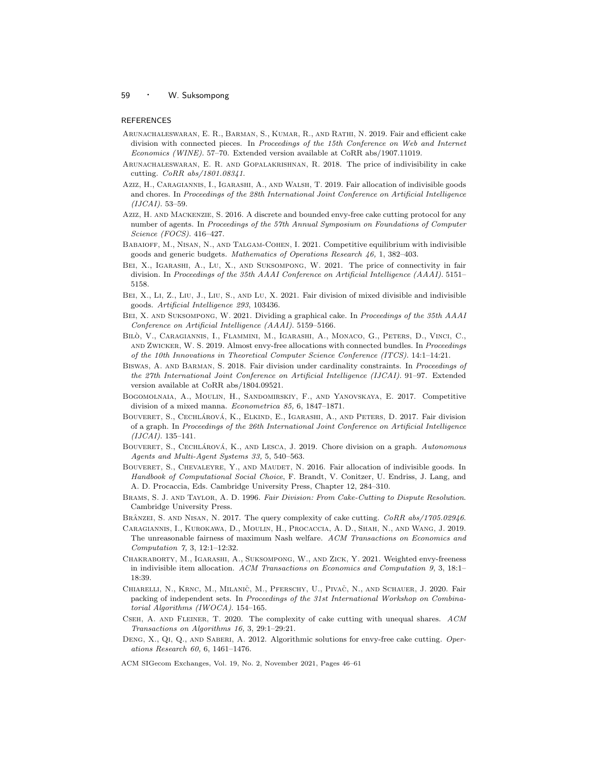#### **REFERENCES**

- Arunachaleswaran, E. R., Barman, S., Kumar, R., and Rathi, N. 2019. Fair and efficient cake division with connected pieces. In Proceedings of the 15th Conference on Web and Internet Economics (WINE). 57–70. Extended version available at CoRR abs/1907.11019.
- Arunachaleswaran, E. R. and Gopalakrishnan, R. 2018. The price of indivisibility in cake cutting. CoRR abs/1801.08341.
- Aziz, H., Caragiannis, I., Igarashi, A., and Walsh, T. 2019. Fair allocation of indivisible goods and chores. In Proceedings of the 28th International Joint Conference on Artificial Intelligence (IJCAI). 53–59.
- Aziz, H. and Mackenzie, S. 2016. A discrete and bounded envy-free cake cutting protocol for any number of agents. In Proceedings of the 57th Annual Symposium on Foundations of Computer Science (FOCS). 416–427.
- Babaioff, M., Nisan, N., and Talgam-Cohen, I. 2021. Competitive equilibrium with indivisible goods and generic budgets. Mathematics of Operations Research 46, 1, 382–403.
- Bei, X., Igarashi, A., Lu, X., and Suksompong, W. 2021. The price of connectivity in fair division. In Proceedings of the 35th AAAI Conference on Artificial Intelligence (AAAI). 5151– 5158.
- BEI, X., LI, Z., LIU, J., LIU, S., AND LU, X. 2021. Fair division of mixed divisible and indivisible goods. Artificial Intelligence 293, 103436.
- BEI, X. AND SUKSOMPONG, W. 2021. Dividing a graphical cake. In Proceedings of the 35th AAAI Conference on Artificial Intelligence (AAAI). 5159–5166.
- BILÒ, V., CARAGIANNIS, I., FLAMMINI, M., IGARASHI, A., MONACO, G., PETERS, D., VINCI, C., and Zwicker, W. S. 2019. Almost envy-free allocations with connected bundles. In Proceedings of the 10th Innovations in Theoretical Computer Science Conference (ITCS). 14:1–14:21.
- BISWAS, A. AND BARMAN, S. 2018. Fair division under cardinality constraints. In Proceedings of the 27th International Joint Conference on Artificial Intelligence (IJCAI). 91–97. Extended version available at CoRR abs/1804.09521.
- Bogomolnaia, A., Moulin, H., Sandomirskiy, F., and Yanovskaya, E. 2017. Competitive division of a mixed manna. Econometrica 85, 6, 1847–1871.
- BOUVERET, S., CECHLÁROVÁ, K., ELKIND, E., IGARASHI, A., AND PETERS, D. 2017. Fair division of a graph. In Proceedings of the 26th International Joint Conference on Artificial Intelligence  $(IJCAI). 135–141.$
- BOUVERET, S., CECHLÁROVÁ, K., AND LESCA, J. 2019. Chore division on a graph. Autonomous Agents and Multi-Agent Systems 33, 5, 540–563.
- Bouveret, S., Chevaleyre, Y., and Maudet, N. 2016. Fair allocation of indivisible goods. In Handbook of Computational Social Choice, F. Brandt, V. Conitzer, U. Endriss, J. Lang, and A. D. Procaccia, Eds. Cambridge University Press, Chapter 12, 284–310.
- BRAMS, S. J. AND TAYLOR, A. D. 1996. Fair Division: From Cake-Cutting to Dispute Resolution. Cambridge University Press.
- BRÂNZEI, S. AND NISAN, N. 2017. The query complexity of cake cutting. CoRR abs/1705.02946.
- Caragiannis, I., Kurokawa, D., Moulin, H., Procaccia, A. D., Shah, N., and Wang, J. 2019. The unreasonable fairness of maximum Nash welfare. ACM Transactions on Economics and Computation 7, 3, 12:1–12:32.
- Chakraborty, M., Igarashi, A., Suksompong, W., and Zick, Y. 2021. Weighted envy-freeness in indivisible item allocation. ACM Transactions on Economics and Computation 9, 3, 18:1– 18:39.
- CHIARELLI, N., KRNC, M., MILANIČ, M., PFERSCHY, U., PIVAČ, N., AND SCHAUER, J. 2020. Fair packing of independent sets. In Proceedings of the 31st International Workshop on Combinatorial Algorithms (IWOCA). 154–165.
- Cseh, A. and Fleiner, T. 2020. The complexity of cake cutting with unequal shares. ACM Transactions on Algorithms 16, 3, 29:1–29:21.
- DENG, X., QI, Q., AND SABERI, A. 2012. Algorithmic solutions for envy-free cake cutting. Operations Research 60, 6, 1461–1476.
- ACM SIGecom Exchanges, Vol. 19, No. 2, November 2021, Pages 46–61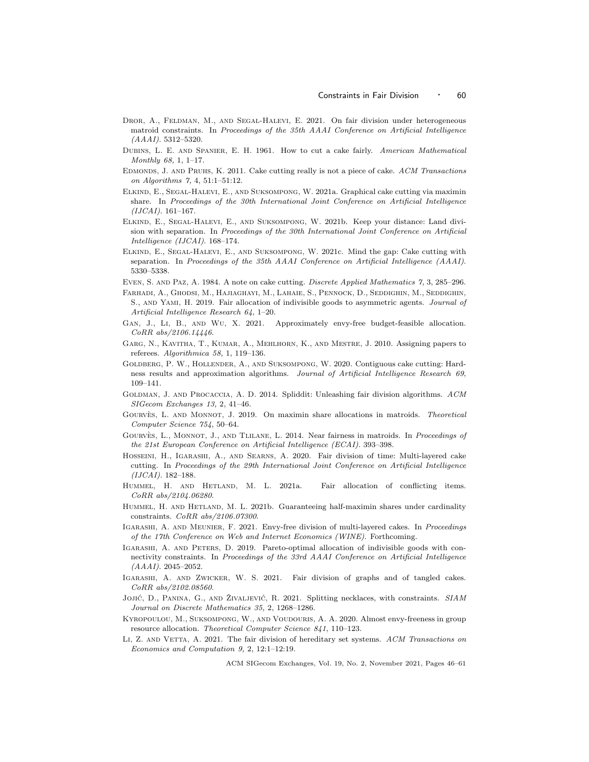- DROR, A., FELDMAN, M., AND SEGAL-HALEVI, E. 2021. On fair division under heterogeneous matroid constraints. In Proceedings of the 35th AAAI Conference on Artificial Intelligence  $(AAAI)$ . 5312–5320.
- Dubins, L. E. and Spanier, E. H. 1961. How to cut a cake fairly. American Mathematical Monthly 68, 1, 1–17.
- Edmonds, J. and Pruhs, K. 2011. Cake cutting really is not a piece of cake. ACM Transactions on Algorithms 7, 4, 51:1–51:12.
- Elkind, E., Segal-Halevi, E., and Suksompong, W. 2021a. Graphical cake cutting via maximin share. In Proceedings of the 30th International Joint Conference on Artificial Intelligence  $(IJCAI)$ . 161–167.
- Elkind, E., Segal-Halevi, E., and Suksompong, W. 2021b. Keep your distance: Land division with separation. In Proceedings of the 30th International Joint Conference on Artificial Intelligence (IJCAI). 168–174.
- Elkind, E., Segal-Halevi, E., and Suksompong, W. 2021c. Mind the gap: Cake cutting with separation. In Proceedings of the 35th AAAI Conference on Artificial Intelligence (AAAI). 5330–5338.
- Even, S. and Paz, A. 1984. A note on cake cutting. Discrete Applied Mathematics 7, 3, 285–296.
- Farhadi, A., Ghodsi, M., Hajiaghayi, M., Lahaie, S., Pennock, D., Seddighin, M., Seddighin, S., and Yami, H. 2019. Fair allocation of indivisible goods to asymmetric agents. Journal of Artificial Intelligence Research 64, 1–20.
- Gan, J., Li, B., and Wu, X. 2021. Approximately envy-free budget-feasible allocation. CoRR abs/2106.14446.
- Garg, N., Kavitha, T., Kumar, A., Mehlhorn, K., and Mestre, J. 2010. Assigning papers to referees. Algorithmica 58, 1, 119–136.
- Goldberg, P. W., Hollender, A., and Suksompong, W. 2020. Contiguous cake cutting: Hardness results and approximation algorithms. Journal of Artificial Intelligence Research 69, 109–141.
- GOLDMAN, J. AND PROCACCIA, A. D. 2014. Spliddit: Unleashing fair division algorithms. ACM SIGecom Exchanges 13, 2, 41–46.
- GOURVES, L. AND MONNOT, J. 2019. On maximin share allocations in matroids. Theoretical Computer Science 754, 50–64.
- GOURVES, L., MONNOT, J., AND TLILANE, L. 2014. Near fairness in matroids. In Proceedings of the 21st European Conference on Artificial Intelligence (ECAI). 393–398.
- Hosseini, H., Igarashi, A., and Searns, A. 2020. Fair division of time: Multi-layered cake cutting. In Proceedings of the 29th International Joint Conference on Artificial Intelligence (IJCAI). 182–188.
- Hummel, H. and Hetland, M. L. 2021a. Fair allocation of conflicting items. CoRR abs/2104.06280.
- Hummel, H. and Hetland, M. L. 2021b. Guaranteeing half-maximin shares under cardinality constraints. CoRR abs/2106.07300.
- IGARASHI, A. AND MEUNIER, F. 2021. Envy-free division of multi-layered cakes. In Proceedings of the 17th Conference on Web and Internet Economics (WINE). Forthcoming.
- IGARASHI, A. AND PETERS, D. 2019. Pareto-optimal allocation of indivisible goods with connectivity constraints. In Proceedings of the 33rd AAAI Conference on Artificial Intelligence  $(AAAI)$ . 2045–2052.
- Igarashi, A. and Zwicker, W. S. 2021. Fair division of graphs and of tangled cakes. CoRR abs/2102.08560.
- JOJIĆ, D., PANINA, G., AND ŽIVALJEVIĆ, R. 2021. Splitting necklaces, with constraints. SIAM Journal on Discrete Mathematics 35, 2, 1268–1286.
- Kyropoulou, M., Suksompong, W., and Voudouris, A. A. 2020. Almost envy-freeness in group resource allocation. Theoretical Computer Science 841, 110–123.
- LI, Z. AND VETTA, A. 2021. The fair division of hereditary set systems. ACM Transactions on Economics and Computation 9, 2, 12:1–12:19.